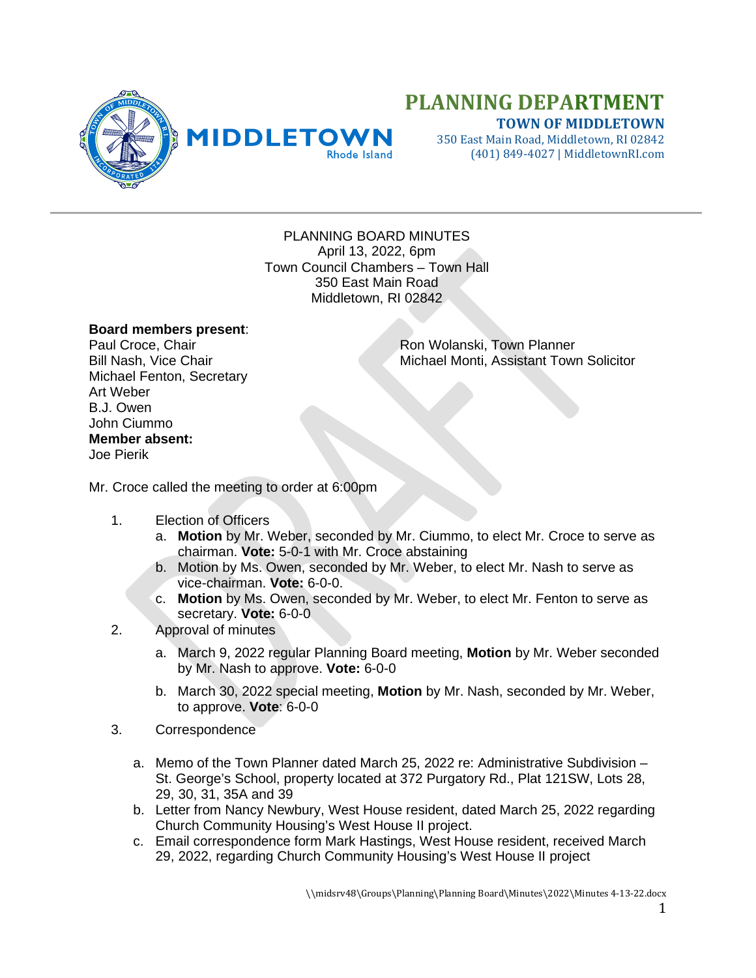

## **PLANNING DEPARTMENT TOWN OF MIDDLETOWN**

350 East Main Road, Middletown, RI 02842 (401) 849-4027 | MiddletownRI.com

PLANNING BOARD MINUTES April 13, 2022, 6pm Town Council Chambers – Town Hall 350 East Main Road Middletown, RI 02842

## **Board members present**:

Michael Fenton, Secretary Art Weber B.J. Owen John Ciummo **Member absent:** Joe Pierik

Paul Croce, Chair **Ron Wolanski, Town Planner** Bill Nash, Vice Chair Michael Monti, Assistant Town Solicitor

Mr. Croce called the meeting to order at 6:00pm

- 1. Election of Officers
	- a. **Motion** by Mr. Weber, seconded by Mr. Ciummo, to elect Mr. Croce to serve as chairman. **Vote:** 5-0-1 with Mr. Croce abstaining
	- b. Motion by Ms. Owen, seconded by Mr. Weber, to elect Mr. Nash to serve as vice-chairman. **Vote:** 6-0-0.
	- c. **Motion** by Ms. Owen, seconded by Mr. Weber, to elect Mr. Fenton to serve as secretary. **Vote:** 6-0-0
- 2. Approval of minutes
	- a. March 9, 2022 regular Planning Board meeting, **Motion** by Mr. Weber seconded by Mr. Nash to approve. **Vote:** 6-0-0
	- b. March 30, 2022 special meeting, **Motion** by Mr. Nash, seconded by Mr. Weber, to approve. **Vote**: 6-0-0
- 3. Correspondence
	- a. Memo of the Town Planner dated March 25, 2022 re: Administrative Subdivision St. George's School, property located at 372 Purgatory Rd., Plat 121SW, Lots 28, 29, 30, 31, 35A and 39
	- b. Letter from Nancy Newbury, West House resident, dated March 25, 2022 regarding Church Community Housing's West House II project.
	- c. Email correspondence form Mark Hastings, West House resident, received March 29, 2022, regarding Church Community Housing's West House II project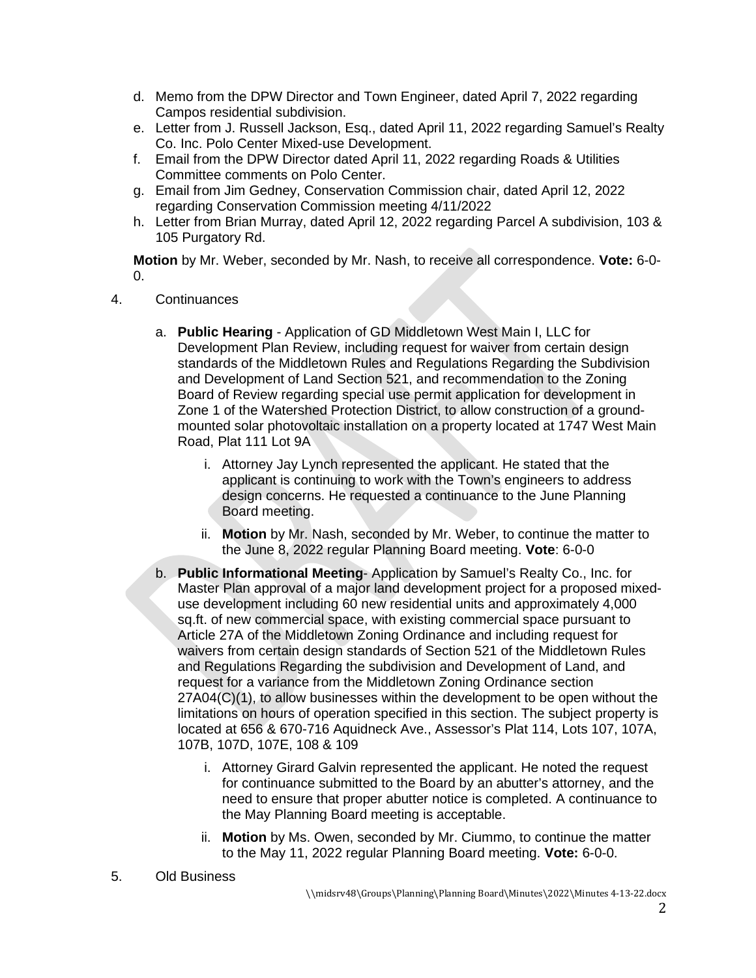- d. Memo from the DPW Director and Town Engineer, dated April 7, 2022 regarding Campos residential subdivision.
- e. Letter from J. Russell Jackson, Esq., dated April 11, 2022 regarding Samuel's Realty Co. Inc. Polo Center Mixed-use Development.
- f. Email from the DPW Director dated April 11, 2022 regarding Roads & Utilities Committee comments on Polo Center.
- g. Email from Jim Gedney, Conservation Commission chair, dated April 12, 2022 regarding Conservation Commission meeting 4/11/2022
- h. Letter from Brian Murray, dated April 12, 2022 regarding Parcel A subdivision, 103 & 105 Purgatory Rd.

**Motion** by Mr. Weber, seconded by Mr. Nash, to receive all correspondence. **Vote:** 6-0-  $\Omega$ .

- 4. Continuances
	- a. **Public Hearing** Application of GD Middletown West Main I, LLC for Development Plan Review, including request for waiver from certain design standards of the Middletown Rules and Regulations Regarding the Subdivision and Development of Land Section 521, and recommendation to the Zoning Board of Review regarding special use permit application for development in Zone 1 of the Watershed Protection District, to allow construction of a groundmounted solar photovoltaic installation on a property located at 1747 West Main Road, Plat 111 Lot 9A
		- i. Attorney Jay Lynch represented the applicant. He stated that the applicant is continuing to work with the Town's engineers to address design concerns. He requested a continuance to the June Planning Board meeting.
		- ii. **Motion** by Mr. Nash, seconded by Mr. Weber, to continue the matter to the June 8, 2022 regular Planning Board meeting. **Vote**: 6-0-0
	- b. **Public Informational Meeting** Application by Samuel's Realty Co., Inc. for Master Plan approval of a major land development project for a proposed mixeduse development including 60 new residential units and approximately 4,000 sq.ft. of new commercial space, with existing commercial space pursuant to Article 27A of the Middletown Zoning Ordinance and including request for waivers from certain design standards of Section 521 of the Middletown Rules and Regulations Regarding the subdivision and Development of Land, and request for a variance from the Middletown Zoning Ordinance section 27A04(C)(1), to allow businesses within the development to be open without the limitations on hours of operation specified in this section. The subject property is located at 656 & 670-716 Aquidneck Ave., Assessor's Plat 114, Lots 107, 107A, 107B, 107D, 107E, 108 & 109
		- i. Attorney Girard Galvin represented the applicant. He noted the request for continuance submitted to the Board by an abutter's attorney, and the need to ensure that proper abutter notice is completed. A continuance to the May Planning Board meeting is acceptable.
		- ii. **Motion** by Ms. Owen, seconded by Mr. Ciummo, to continue the matter to the May 11, 2022 regular Planning Board meeting. **Vote:** 6-0-0.
- 5. Old Business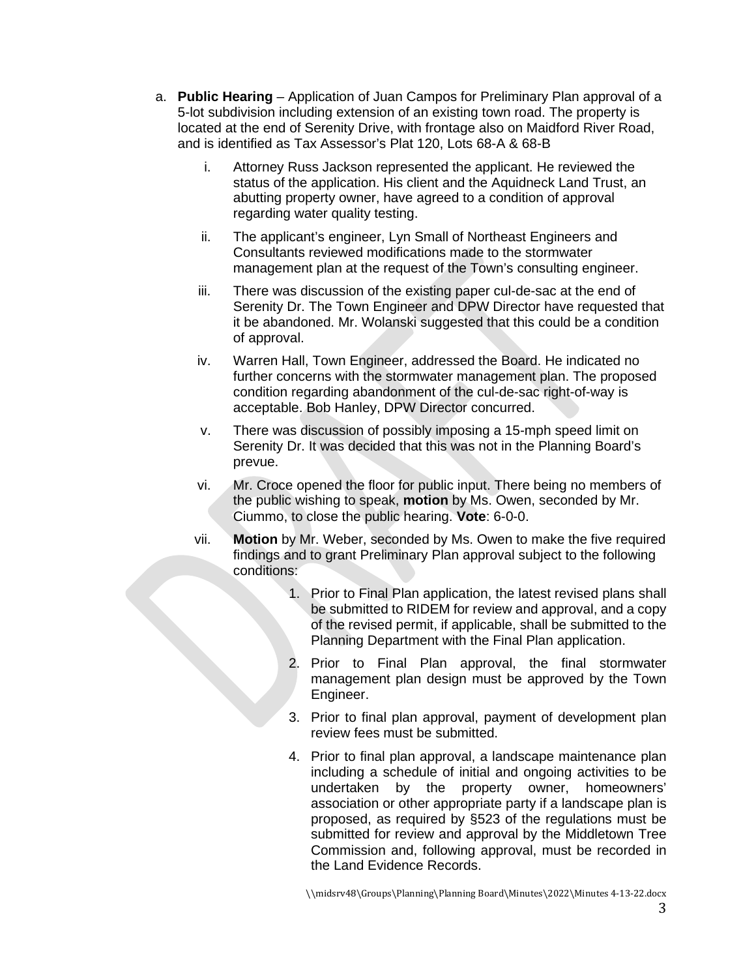- a. **Public Hearing** Application of Juan Campos for Preliminary Plan approval of a 5-lot subdivision including extension of an existing town road. The property is located at the end of Serenity Drive, with frontage also on Maidford River Road, and is identified as Tax Assessor's Plat 120, Lots 68-A & 68-B
	- i. Attorney Russ Jackson represented the applicant. He reviewed the status of the application. His client and the Aquidneck Land Trust, an abutting property owner, have agreed to a condition of approval regarding water quality testing.
	- ii. The applicant's engineer, Lyn Small of Northeast Engineers and Consultants reviewed modifications made to the stormwater management plan at the request of the Town's consulting engineer.
	- iii. There was discussion of the existing paper cul-de-sac at the end of Serenity Dr. The Town Engineer and DPW Director have requested that it be abandoned. Mr. Wolanski suggested that this could be a condition of approval.
	- iv. Warren Hall, Town Engineer, addressed the Board. He indicated no further concerns with the stormwater management plan. The proposed condition regarding abandonment of the cul-de-sac right-of-way is acceptable. Bob Hanley, DPW Director concurred.
	- v. There was discussion of possibly imposing a 15-mph speed limit on Serenity Dr. It was decided that this was not in the Planning Board's prevue.
	- vi. Mr. Croce opened the floor for public input. There being no members of the public wishing to speak, **motion** by Ms. Owen, seconded by Mr. Ciummo, to close the public hearing. **Vote**: 6-0-0.
	- vii. **Motion** by Mr. Weber, seconded by Ms. Owen to make the five required findings and to grant Preliminary Plan approval subject to the following conditions:
		- 1. Prior to Final Plan application, the latest revised plans shall be submitted to RIDEM for review and approval, and a copy of the revised permit, if applicable, shall be submitted to the Planning Department with the Final Plan application.
		- 2. Prior to Final Plan approval, the final stormwater management plan design must be approved by the Town Engineer.
		- 3. Prior to final plan approval, payment of development plan review fees must be submitted.
		- 4. Prior to final plan approval, a landscape maintenance plan including a schedule of initial and ongoing activities to be undertaken by the property owner, homeowners' association or other appropriate party if a landscape plan is proposed, as required by §523 of the regulations must be submitted for review and approval by the Middletown Tree Commission and, following approval, must be recorded in the Land Evidence Records.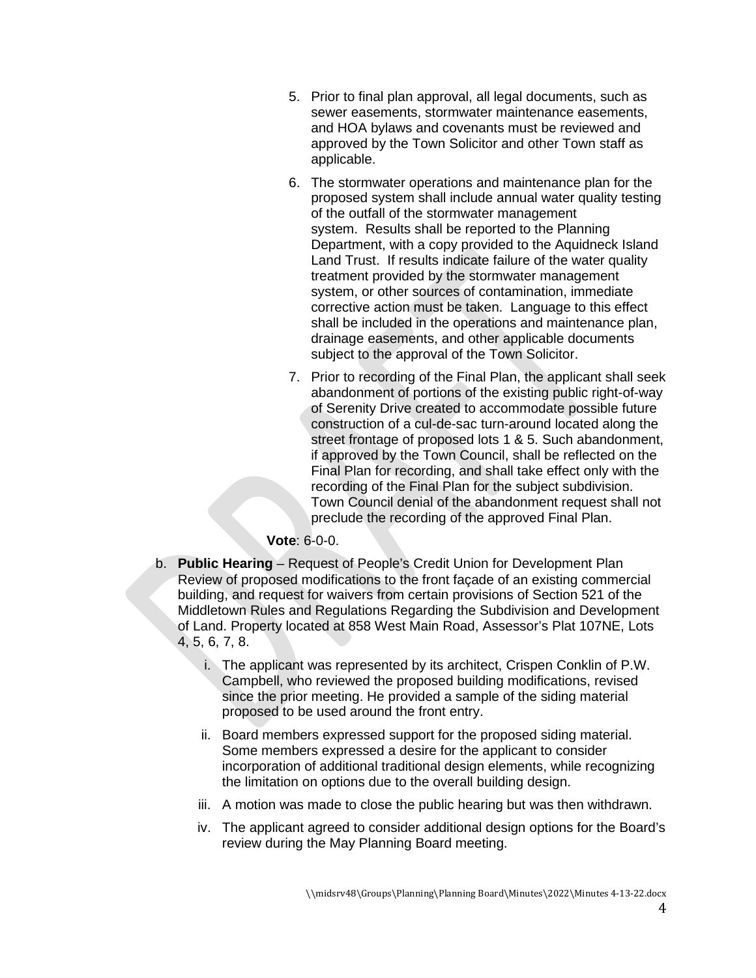- 5. Prior to final plan approval, all legal documents, such as sewer easements, stormwater maintenance easements, and HOA bylaws and covenants must be reviewed and approved by the Town Solicitor and other Town staff as applicable.
- 6. The stormwater operations and maintenance plan for the proposed system shall include annual water quality testing of the outfall of the stormwater management system. Results shall be reported to the Planning Department, with a copy provided to the Aquidneck Island Land Trust. If results indicate failure of the water quality treatment provided by the stormwater management system, or other sources of contamination, immediate corrective action must be taken. Language to this effect shall be included in the operations and maintenance plan, drainage easements, and other applicable documents subject to the approval of the Town Solicitor.
- 7. Prior to recording of the Final Plan, the applicant shall seek abandonment of portions of the existing public right-of-way of Serenity Drive created to accommodate possible future construction of a cul-de-sac turn-around located along the street frontage of proposed lots 1 & 5. Such abandonment, if approved by the Town Council, shall be reflected on the Final Plan for recording, and shall take effect only with the recording of the Final Plan for the subject subdivision. Town Council denial of the abandonment request shall not preclude the recording of the approved Final Plan.

## **Vote**: 6-0-0.

- b. **Public Hearing** Request of People's Credit Union for Development Plan Review of proposed modifications to the front façade of an existing commercial building, and request for waivers from certain provisions of Section 521 of the Middletown Rules and Regulations Regarding the Subdivision and Development of Land. Property located at 858 West Main Road, Assessor's Plat 107NE, Lots 4, 5, 6, 7, 8.
	- i. The applicant was represented by its architect, Crispen Conklin of P.W. Campbell, who reviewed the proposed building modifications, revised since the prior meeting. He provided a sample of the siding material proposed to be used around the front entry.
	- ii. Board members expressed support for the proposed siding material. Some members expressed a desire for the applicant to consider incorporation of additional traditional design elements, while recognizing the limitation on options due to the overall building design.
	- iii. A motion was made to close the public hearing but was then withdrawn.
	- iv. The applicant agreed to consider additional design options for the Board's review during the May Planning Board meeting.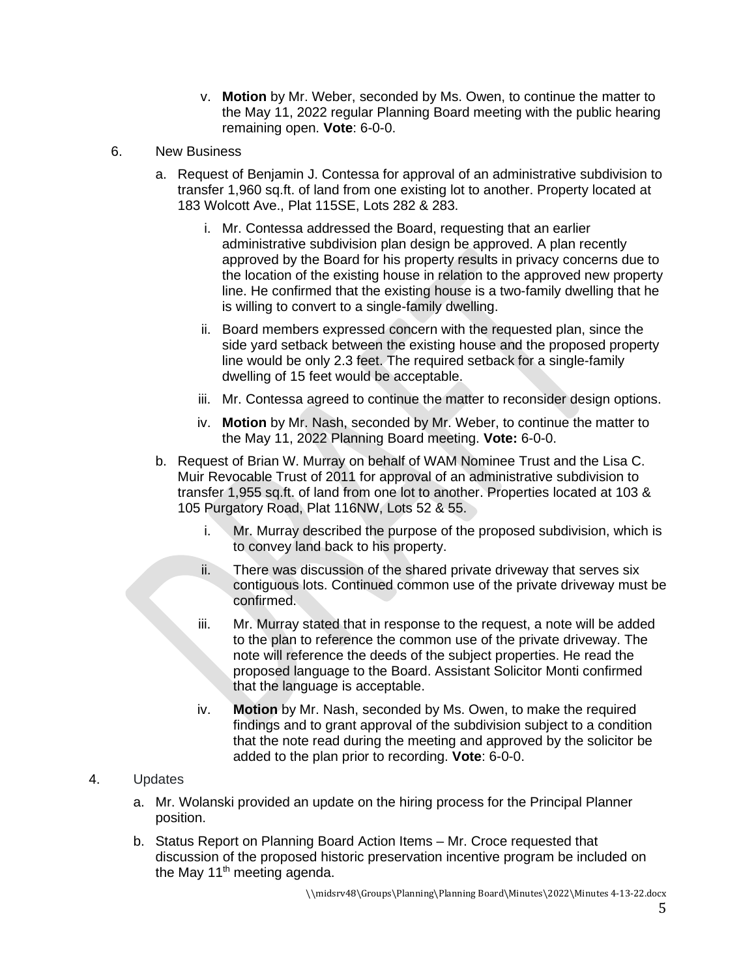- v. **Motion** by Mr. Weber, seconded by Ms. Owen, to continue the matter to the May 11, 2022 regular Planning Board meeting with the public hearing remaining open. **Vote**: 6-0-0.
- 6. New Business
	- a. Request of Benjamin J. Contessa for approval of an administrative subdivision to transfer 1,960 sq.ft. of land from one existing lot to another. Property located at 183 Wolcott Ave., Plat 115SE, Lots 282 & 283.
		- i. Mr. Contessa addressed the Board, requesting that an earlier administrative subdivision plan design be approved. A plan recently approved by the Board for his property results in privacy concerns due to the location of the existing house in relation to the approved new property line. He confirmed that the existing house is a two-family dwelling that he is willing to convert to a single-family dwelling.
		- ii. Board members expressed concern with the requested plan, since the side yard setback between the existing house and the proposed property line would be only 2.3 feet. The required setback for a single-family dwelling of 15 feet would be acceptable.
		- iii. Mr. Contessa agreed to continue the matter to reconsider design options.
		- iv. **Motion** by Mr. Nash, seconded by Mr. Weber, to continue the matter to the May 11, 2022 Planning Board meeting. **Vote:** 6-0-0.
	- b. Request of Brian W. Murray on behalf of WAM Nominee Trust and the Lisa C. Muir Revocable Trust of 2011 for approval of an administrative subdivision to transfer 1,955 sq.ft. of land from one lot to another. Properties located at 103 & 105 Purgatory Road, Plat 116NW, Lots 52 & 55.
		- i. Mr. Murray described the purpose of the proposed subdivision, which is to convey land back to his property.
		- ii. There was discussion of the shared private driveway that serves six contiguous lots. Continued common use of the private driveway must be confirmed.
		- iii. Mr. Murray stated that in response to the request, a note will be added to the plan to reference the common use of the private driveway. The note will reference the deeds of the subject properties. He read the proposed language to the Board. Assistant Solicitor Monti confirmed that the language is acceptable.
		- iv. **Motion** by Mr. Nash, seconded by Ms. Owen, to make the required findings and to grant approval of the subdivision subject to a condition that the note read during the meeting and approved by the solicitor be added to the plan prior to recording. **Vote**: 6-0-0.

## 4. Updates

- a. Mr. Wolanski provided an update on the hiring process for the Principal Planner position.
- b. Status Report on Planning Board Action Items Mr. Croce requested that discussion of the proposed historic preservation incentive program be included on the May  $11<sup>th</sup>$  meeting agenda.